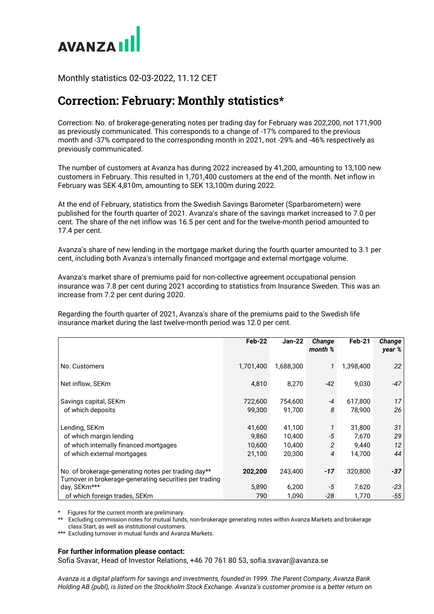

Monthly statistics 02-03-2022, 11.12 CET

## **Correction: February: Monthly statistics\***

Correction: No. of brokerage-generating notes per trading day for February was 202,200, not 171,900 as previously communicated. This corresponds to a change of -17% compared to the previous month and -37% compared to the corresponding month in 2021, not -29% and -46% respectively as previously communicated.

The number of customers at Avanza has during 2022 increased by 41,200, amounting to 13,100 new customers in February. This resulted in 1,701,400 customers at the end of the month. Net inflow in February was SEK 4,810m, amounting to SEK 13,100m during 2022.

At the end of February, statistics from the Swedish Savings Barometer (Sparbarometern) were published for the fourth quarter of 2021. Avanza's share of the savings market increased to 7.0 per cent. The share of the net inflow was 16.5 per cent and for the twelve-month period amounted to 17.4 per cent.

Avanza's share of new lending in the mortgage market during the fourth quarter amounted to 3.1 per cent, including both Avanza's internally financed mortgage and external mortgage volume.

Avanza's market share of premiums paid for non-collective agreement occupational pension insurance was 7.8 per cent during 2021 according to statistics from Insurance Sweden. This was an increase from 7.2 per cent during 2020.

Regarding the fourth quarter of 2021, Avanza's share of the premiums paid to the Swedish life insurance market during the last twelve-month period was 12.0 per cent.

|                                                                                                                | Feb-22    | <b>Jan-22</b> | Change<br>month % | Feb-21    | Change<br>year % |
|----------------------------------------------------------------------------------------------------------------|-----------|---------------|-------------------|-----------|------------------|
| No. Customers                                                                                                  | 1,701,400 | 1,688,300     | 1                 | 1,398,400 | 22               |
| Net inflow, SEKm                                                                                               | 4,810     | 8,270         | $-42$             | 9,030     | $-47$            |
| Savings capital, SEKm                                                                                          | 722,600   | 754,600       | -4                | 617,800   | 17               |
| of which deposits                                                                                              | 99,300    | 91,700        | 8                 | 78,900    | 26               |
| Lending, SEKm                                                                                                  | 41,600    | 41,100        |                   | 31,800    | 31               |
| of which margin lending                                                                                        | 9,860     | 10,400        | -5                | 7,670     | 29               |
| of which internally financed mortgages                                                                         | 10,600    | 10,400        | $\overline{2}$    | 9,440     | 12               |
| of which external mortgages                                                                                    | 21,100    | 20,300        | 4                 | 14,700    | 44               |
| No. of brokerage-generating notes per trading day**<br>Turnover in brokerage-generating securities per trading | 202,200   | 243,400       | -17               | 320,800   | $-37$            |
| day, SEKm***                                                                                                   | 5,890     | 6,200         | -5                | 7,620     | $-23$            |
| of which foreign trades, SEKm                                                                                  | 790       | 1,090         | -28               | 1,770     | -55              |

Figures for the current month are preliminary.

\*\* Excluding commission notes for mutual funds, non-brokerage generating notes within Avanza Markets and brokerage class Start, as well as institutional customers.

\*\*\* Excluding turnover in mutual funds and Avanza Markets.

## **For further information please contact:**

Sofia Svavar, Head of Investor Relations, +46 70 761 80 53, sofia.svavar@avanza.se

*Avanza is a digital platform for savings and investments, founded in 1999. The Parent Company, Avanza Bank Holding AB (publ), is listed on the Stockholm Stock Exchange. Avanza's customer promise is a better return on*